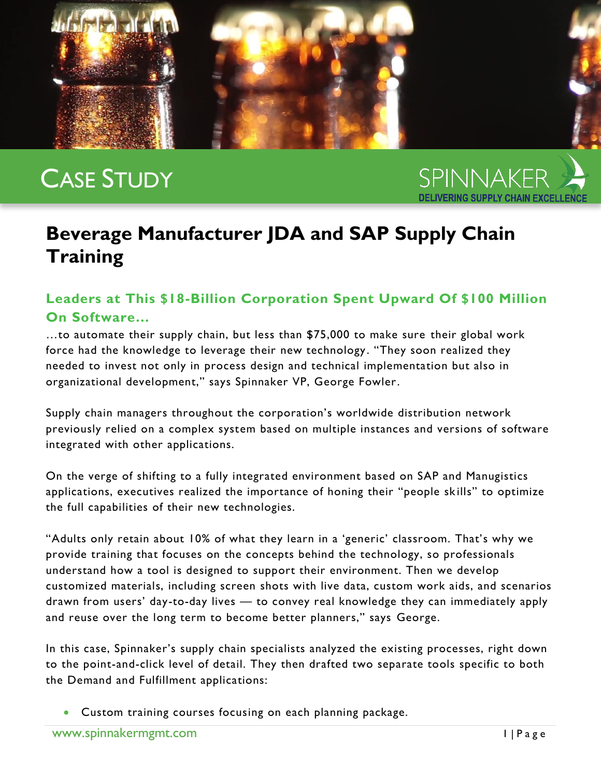

# CASE STUDY



# **Beverage Manufacturer JDA and SAP Supply Chain Training**

## **Leaders at This \$18-Billion Corporation Spent Upward Of \$100 Million On Software…**

…to automate their supply chain, but less than \$75,000 to make sure their global work force had the knowledge to leverage their new technology. "They soon realized they needed to invest not only in process design and technical implementation but also in organizational development," says Spinnaker VP, George Fowler.

Supply chain managers throughout the corporation's worldwide distribution network previously relied on a complex system based on multiple instances and versions of software integrated with other applications.

On the verge of shifting to a fully integrated environment based on SAP and Manugistics applications, executives realized the importance of honing their "people skills" to optimize the full capabilities of their new technologies.

"Adults only retain about 10% of what they learn in a 'generic' classroom. That's why we provide training that focuses on the concepts behind the technology, so professionals understand how a tool is designed to support their environment. Then we develop customized materials, including screen shots with live data, custom work aids, and scenarios drawn from users' day-to-day lives — to convey real knowledge they can immediately apply and reuse over the long term to become better planners," says George.

In this case, Spinnaker's supply chain specialists analyzed the existing processes, right down to the point-and-click level of detail. They then drafted two separate tools specific to both the Demand and Fulfillment applications:

Custom training courses focusing on each planning package.